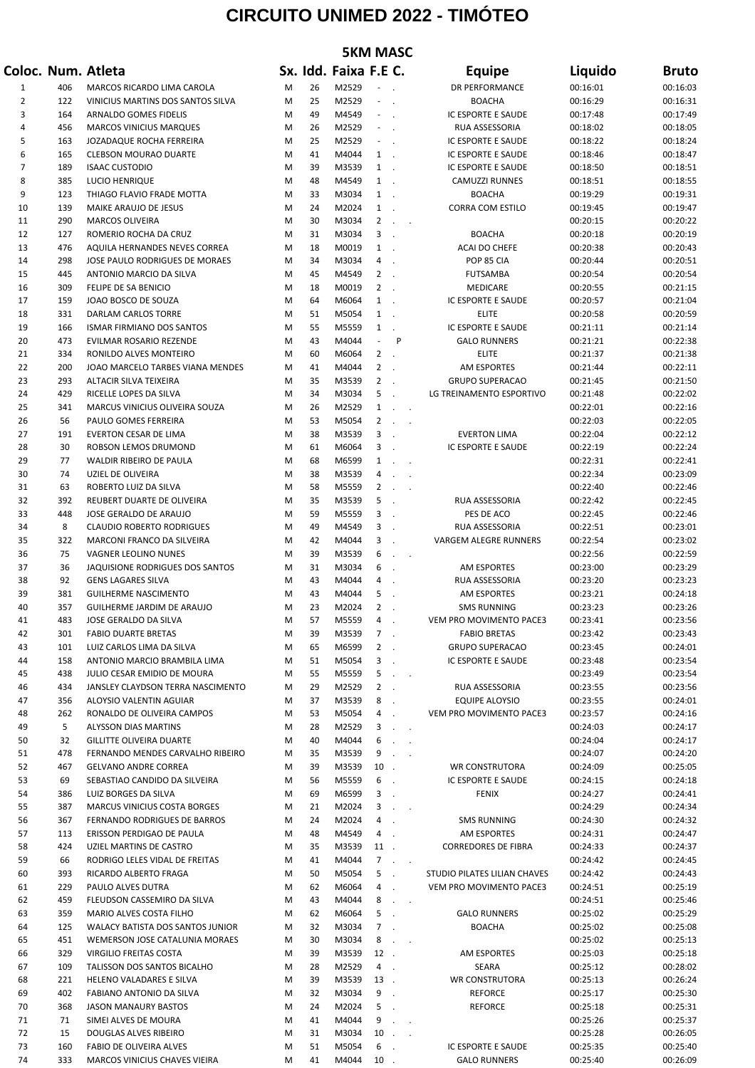## **CIRCUITO UNIMED 2022 - TIMÓTEO**

| <b>5KM MASC</b> |            |                                                              |        |          |                       |                             |                                                                    |                                                    |                      |                      |  |
|-----------------|------------|--------------------------------------------------------------|--------|----------|-----------------------|-----------------------------|--------------------------------------------------------------------|----------------------------------------------------|----------------------|----------------------|--|
|                 |            | Coloc. Num. Atleta                                           |        |          | Sx. Idd. Faixa F.E C. |                             |                                                                    | <b>Equipe</b>                                      | Liquido              | <b>Bruto</b>         |  |
| 1               | 406        | MARCOS RICARDO LIMA CAROLA                                   | M      | 26       | M2529                 |                             |                                                                    | <b>DR PERFORMANCE</b>                              | 00:16:01             | 00:16:03             |  |
| 2               | 122        | VINICIUS MARTINS DOS SANTOS SILVA                            | M      | 25       | M2529                 | $\sim$ $-$ .                |                                                                    | <b>BOACHA</b>                                      | 00:16:29             | 00:16:31             |  |
| 3               | 164        | ARNALDO GOMES FIDELIS                                        | M      | 49       | M4549                 | $ -$                        |                                                                    | IC ESPORTE E SAUDE                                 | 00:17:48             | 00:17:49             |  |
| 4               | 456        | <b>MARCOS VINICIUS MARQUES</b>                               | M      | 26       | M2529                 | $\sim$                      | $\sim$                                                             | RUA ASSESSORIA                                     | 00:18:02             | 00:18:05             |  |
| 5               | 163        | JOZADAQUE ROCHA FERREIRA                                     | M      | 25       | M2529                 | $\sim$ $-$ .                |                                                                    | IC ESPORTE E SAUDE                                 | 00:18:22             | 00:18:24             |  |
| 6               | 165        | <b>CLEBSON MOURAO DUARTE</b>                                 | M      | 41       | M4044                 | $1$ .                       |                                                                    | IC ESPORTE E SAUDE                                 | 00:18:46             | 00:18:47             |  |
| $\overline{7}$  | 189        | <b>ISAAC CUSTODIO</b>                                        | M      | 39       | M3539                 | $1$ .                       |                                                                    | IC ESPORTE E SAUDE                                 | 00:18:50             | 00:18:51             |  |
| 8               | 385        | LUCIO HENRIQUE                                               | M      | 48       | M4549                 | $1$ .                       |                                                                    | <b>CAMUZZI RUNNES</b>                              | 00:18:51             | 00:18:55             |  |
| 9               | 123        | THIAGO FLAVIO FRADE MOTTA                                    | M      | 33       | M3034                 | $1$ .                       |                                                                    | <b>BOACHA</b><br><b>CORRA COM ESTILO</b>           | 00:19:29             | 00:19:31             |  |
| 10<br>11        | 139<br>290 | MAIKE ARAUJO DE JESUS<br><b>MARCOS OLIVEIRA</b>              | M<br>M | 24<br>30 | M2024<br>M3034        | $1$ .<br>$\overline{2}$     | $\ddot{\phantom{a}}$<br>$\sim$                                     |                                                    | 00:19:45<br>00:20:15 | 00:19:47<br>00:20:22 |  |
| 12              | 127        | ROMERIO ROCHA DA CRUZ                                        | M      | 31       | M3034                 | 3                           | $\sim$                                                             | <b>BOACHA</b>                                      | 00:20:18             | 00:20:19             |  |
| 13              | 476        | AQUILA HERNANDES NEVES CORREA                                | M      | 18       | M0019                 | $1$ .                       |                                                                    | <b>ACAI DO CHEFE</b>                               | 00:20:38             | 00:20:43             |  |
| 14              | 298        | JOSE PAULO RODRIGUES DE MORAES                               | M      | 34       | M3034                 | 4                           |                                                                    | POP 85 CIA                                         | 00:20:44             | 00:20:51             |  |
| 15              | 445        | ANTONIO MARCIO DA SILVA                                      | M      | 45       | M4549                 | $2$ .                       |                                                                    | <b>FUTSAMBA</b>                                    | 00:20:54             | 00:20:54             |  |
| 16              | 309        | FELIPE DE SA BENICIO                                         | M      | 18       | M0019                 | $2$ .                       |                                                                    | <b>MEDICARE</b>                                    | 00:20:55             | 00:21:15             |  |
| 17              | 159        | JOAO BOSCO DE SOUZA                                          | M      | 64       | M6064                 | $1$ .                       |                                                                    | IC ESPORTE E SAUDE                                 | 00:20:57             | 00:21:04             |  |
| 18              | 331        | <b>DARLAM CARLOS TORRE</b>                                   | M      | 51       | M5054                 | $\mathbf{1}$                | $\sim$                                                             | <b>ELITE</b>                                       | 00:20:58             | 00:20:59             |  |
| 19              | 166        | <b>ISMAR FIRMIANO DOS SANTOS</b>                             | M      | 55       | M5559                 | $\mathbf{1}$                | $\sim$                                                             | IC ESPORTE E SAUDE                                 | 00:21:11             | 00:21:14             |  |
| 20              | 473        | EVILMAR ROSARIO REZENDE                                      | M      | 43       | M4044                 | $\mathcal{L}^{\mathcal{L}}$ | P                                                                  | <b>GALO RUNNERS</b>                                | 00:21:21             | 00:22:38             |  |
| 21              | 334        | RONILDO ALVES MONTEIRO                                       | M      | 60       | M6064                 | $2$ .                       |                                                                    | <b>ELITE</b>                                       | 00:21:37             | 00:21:38             |  |
| 22              | 200        | JOAO MARCELO TARBES VIANA MENDES                             | M      | 41       | M4044                 | $\overline{2}$              |                                                                    | <b>AM ESPORTES</b>                                 | 00:21:44             | 00:22:11             |  |
| 23              | 293        | ALTACIR SILVA TEIXEIRA                                       | M      | 35<br>34 | M3539                 | $2$ .<br>5                  |                                                                    | <b>GRUPO SUPERACAO</b><br>LG TREINAMENTO ESPORTIVO | 00:21:45             | 00:21:50             |  |
| 24<br>25        | 429<br>341 | RICELLE LOPES DA SILVA<br>MARCUS VINICIUS OLIVEIRA SOUZA     | M<br>M | 26       | M3034<br>M2529        | $\mathbf{1}$                |                                                                    |                                                    | 00:21:48<br>00:22:01 | 00:22:02<br>00:22:16 |  |
| 26              | 56         | PAULO GOMES FERREIRA                                         | M      | 53       | M5054                 | $\overline{2}$              | $\sim$<br>$\ddot{\phantom{a}}$<br>$\ddot{\phantom{a}}$<br>$\sim$ . |                                                    | 00:22:03             | 00:22:05             |  |
| 27              | 191        | EVERTON CESAR DE LIMA                                        | M      | 38       | M3539                 | $3$ .                       |                                                                    | <b>EVERTON LIMA</b>                                | 00:22:04             | 00:22:12             |  |
| 28              | 30         | ROBSON LEMOS DRUMOND                                         | M      | 61       | M6064                 | 3                           | $\sim$                                                             | IC ESPORTE E SAUDE                                 | 00:22:19             | 00:22:24             |  |
| 29              | 77         | WALDIR RIBEIRO DE PAULA                                      | M      | 68       | M6599                 | $\mathbf{1}$                | $\ddot{\phantom{a}}$<br>$\ddot{\phantom{a}}$                       |                                                    | 00:22:31             | 00:22:41             |  |
| 30              | 74         | UZIEL DE OLIVEIRA                                            | M      | 38       | M3539                 | 4                           | $\cdot$<br>$\sim$                                                  |                                                    | 00:22:34             | 00:23:09             |  |
| 31              | 63         | ROBERTO LUIZ DA SILVA                                        | M      | 58       | M5559                 | $\overline{2}$              | $\ddot{\phantom{a}}$<br>$\ddot{\phantom{a}}$                       |                                                    | 00:22:40             | 00:22:46             |  |
| 32              | 392        | REUBERT DUARTE DE OLIVEIRA                                   | M      | 35       | M3539                 | 5                           | $\ddot{\phantom{a}}$                                               | RUA ASSESSORIA                                     | 00:22:42             | 00:22:45             |  |
| 33              | 448        | JOSE GERALDO DE ARAUJO                                       | M      | 59       | M5559                 | 3                           | $\overline{\phantom{a}}$                                           | PES DE ACO                                         | 00:22:45             | 00:22:46             |  |
| 34              | 8          | <b>CLAUDIO ROBERTO RODRIGUES</b>                             | M      | 49       | M4549                 | 3                           | $\sim$                                                             | RUA ASSESSORIA                                     | 00:22:51             | 00:23:01             |  |
| 35              | 322        | MARCONI FRANCO DA SILVEIRA                                   | M      | 42       | M4044                 | 3                           | $\sim$                                                             | VARGEM ALEGRE RUNNERS                              | 00:22:54             | 00:23:02             |  |
| 36              | 75         | VAGNER LEOLINO NUNES                                         | M      | 39       | M3539                 | 6                           | $\mathcal{L}_{\mathbf{r}}$<br>$\sim$                               |                                                    | 00:22:56             | 00:22:59             |  |
| 37              | 36         | <b>JAQUISIONE RODRIGUES DOS SANTOS</b>                       | M      | 31       | M3034                 | 6                           | $\ddot{\phantom{a}}$                                               | <b>AM ESPORTES</b>                                 | 00:23:00             | 00:23:29             |  |
| 38<br>39        | 92<br>381  | <b>GENS LAGARES SILVA</b><br><b>GUILHERME NASCIMENTO</b>     | M      | 43<br>43 | M4044<br>M4044        | 4<br>5                      |                                                                    | RUA ASSESSORIA<br><b>AM ESPORTES</b>               | 00:23:20             | 00:23:23             |  |
| 40              | 357        | GUILHERME JARDIM DE ARAUJO                                   | M<br>M | 23       | M2024                 | 2                           | $\sim$                                                             | <b>SMS RUNNING</b>                                 | 00:23:21<br>00:23:23 | 00:24:18<br>00:23:26 |  |
| 41              | 483        | JOSE GERALDO DA SILVA                                        | M      | 57       | M5559                 | 4                           |                                                                    | VEM PRO MOVIMENTO PACE3                            | 00:23:41             | 00:23:56             |  |
| 42              | 301        | <b>FABIO DUARTE BRETAS</b>                                   | M      | 39       | M3539                 | $7$ .                       |                                                                    | <b>FABIO BRETAS</b>                                | 00:23:42             | 00:23:43             |  |
| 43              | 101        | LUIZ CARLOS LIMA DA SILVA                                    | M      | 65       | M6599                 | $2$ .                       |                                                                    | <b>GRUPO SUPERACAO</b>                             | 00:23:45             | 00:24:01             |  |
| 44              | 158        | ANTONIO MARCIO BRAMBILA LIMA                                 | M      | 51       | M5054                 | $3$ .                       |                                                                    | IC ESPORTE E SAUDE                                 | 00:23:48             | 00:23:54             |  |
| 45              | 438        | JULIO CESAR EMIDIO DE MOURA                                  | M      | 55       | M5559                 | 5                           | $\sim$<br>$\sim$ .                                                 |                                                    | 00:23:49             | 00:23:54             |  |
| 46              | 434        | JANSLEY CLAYDSON TERRA NASCIMENTO                            | M      | 29       | M2529                 | $2$ .                       |                                                                    | RUA ASSESSORIA                                     | 00:23:55             | 00:23:56             |  |
| 47              | 356        | ALOYSIO VALENTIN AGUIAR                                      | M      | 37       | M3539                 | 8.                          |                                                                    | <b>EQUIPE ALOYSIO</b>                              | 00:23:55             | 00:24:01             |  |
| 48              | 262        | RONALDO DE OLIVEIRA CAMPOS                                   | M      | 53       | M5054                 | 4.                          |                                                                    | VEM PRO MOVIMENTO PACE3                            | 00:23:57             | 00:24:16             |  |
| 49              | 5          | ALYSSON DIAS MARTINS                                         | M      | 28       | M2529                 |                             | $3 \cdot \cdot$                                                    |                                                    | 00:24:03             | 00:24:17             |  |
| 50              | 32         | <b>GILLITTE OLIVEIRA DUARTE</b>                              | M      | 40       | M4044                 | 6                           | $\Delta\phi=0.1$                                                   |                                                    | 00:24:04             | 00:24:17             |  |
| 51              | 478        | FERNANDO MENDES CARVALHO RIBEIRO                             | M      | 35       | M3539<br>M3539        | 9                           | $\mathcal{L}_{\rm{max}}$ .                                         |                                                    | 00:24:07             | 00:24:20             |  |
| 52<br>53        | 467<br>69  | <b>GELVANO ANDRE CORREA</b><br>SEBASTIAO CANDIDO DA SILVEIRA | M<br>M | 39<br>56 | M5559                 | $10$ .<br>6                 |                                                                    | <b>WR CONSTRUTORA</b><br>IC ESPORTE E SAUDE        | 00:24:09<br>00:24:15 | 00:25:05<br>00:24:18 |  |
| 54              | 386        | LUIZ BORGES DA SILVA                                         | M      | 69       | M6599                 | 3                           | $\sim$<br>$\sim$                                                   | <b>FENIX</b>                                       | 00:24:27             | 00:24:41             |  |
| 55              | 387        | MARCUS VINICIUS COSTA BORGES                                 | M      | 21       | M2024                 |                             | $3 \cdot \cdot$                                                    |                                                    | 00:24:29             | 00:24:34             |  |
| 56              | 367        | FERNANDO RODRIGUES DE BARROS                                 | M      | 24       | M2024                 | 4.                          |                                                                    | <b>SMS RUNNING</b>                                 | 00:24:30             | 00:24:32             |  |
| 57              | 113        | ERISSON PERDIGAO DE PAULA                                    | M      | 48       | M4549                 | 4.                          |                                                                    | AM ESPORTES                                        | 00:24:31             | 00:24:47             |  |
| 58              | 424        | UZIEL MARTINS DE CASTRO                                      | M      | 35       | M3539                 | 11.                         |                                                                    | <b>CORREDORES DE FIBRA</b>                         | 00:24:33             | 00:24:37             |  |
| 59              | 66         | RODRIGO LELES VIDAL DE FREITAS                               | M      | 41       | M4044                 |                             | $7 \cdot \cdot$                                                    |                                                    | 00:24:42             | 00:24:45             |  |
| 60              | 393        | RICARDO ALBERTO FRAGA                                        | M      | 50       | M5054                 | $5$ .                       |                                                                    | STUDIO PILATES LILIAN CHAVES                       | 00:24:42             | 00:24:43             |  |
| 61              | 229        | PAULO ALVES DUTRA                                            | M      | 62       | M6064                 | 4.                          |                                                                    | VEM PRO MOVIMENTO PACE3                            | 00:24:51             | 00:25:19             |  |
| 62              | 459        | FLEUDSON CASSEMIRO DA SILVA                                  | M      | 43       | M4044                 | 8                           | <b>Contract</b>                                                    |                                                    | 00:24:51             | 00:25:46             |  |
| 63              | 359        | MARIO ALVES COSTA FILHO                                      | M      | 62       | M6064                 | 5.                          |                                                                    | <b>GALO RUNNERS</b>                                | 00:25:02             | 00:25:29             |  |
| 64              | 125        | WALACY BATISTA DOS SANTOS JUNIOR                             | M      | 32       | M3034                 | $7$ .                       |                                                                    | <b>BOACHA</b>                                      | 00:25:02             | 00:25:08             |  |
| 65              | 451        | WEMERSON JOSE CATALUNIA MORAES                               | M      | 30       | M3034                 | 8                           | $\sim$<br>$\sim$                                                   |                                                    | 00:25:02             | 00:25:13             |  |
| 66              | 329        | <b>VIRGILIO FREITAS COSTA</b>                                | M      | 39       | M3539                 | 12.                         |                                                                    | AM ESPORTES                                        | 00:25:03             | 00:25:18             |  |
| 67<br>68        | 109<br>221 | TALISSON DOS SANTOS BICALHO<br>HELENO VALADARES E SILVA      | M<br>M | 28<br>39 | M2529<br>M3539        | 4.<br>$13$ .                |                                                                    | <b>SEARA</b><br><b>WR CONSTRUTORA</b>              | 00:25:12<br>00:25:13 | 00:28:02<br>00:26:24 |  |
| 69              | 402        | FABIANO ANTONIO DA SILVA                                     | M      | 32       | M3034                 | 9                           | $\mathcal{L}_{\bullet}$                                            | <b>REFORCE</b>                                     | 00:25:17             | 00:25:30             |  |
| 70              | 368        | <b>JASON MANAURY BASTOS</b>                                  | M      | 24       | M2024                 | 5                           | $\overline{\phantom{a}}$                                           | <b>REFORCE</b>                                     | 00:25:18             | 00:25:31             |  |
| 71              | 71         | SIMEI ALVES DE MOURA                                         | M      | 41       | M4044                 | 9                           | $\mathcal{L}^{\text{max}}$ .                                       |                                                    | 00:25:26             | 00:25:37             |  |
| 72              | 15         | DOUGLAS ALVES RIBEIRO                                        | M      | 31       | M3034                 | 10                          | $\mathcal{L}_{\rm{max}}$                                           |                                                    | 00:25:28             | 00:26:05             |  |
| 73              | 160        | FABIO DE OLIVEIRA ALVES                                      | M      | 51       | M5054                 | 6                           | $\ddot{\phantom{a}}$                                               | IC ESPORTE E SAUDE                                 | 00:25:35             | 00:25:40             |  |
| 74              | 333        | MARCOS VINICIUS CHAVES VIEIRA                                | M      | 41       | M4044                 | 10.                         |                                                                    | <b>GALO RUNNERS</b>                                | 00:25:40             | 00:26:09             |  |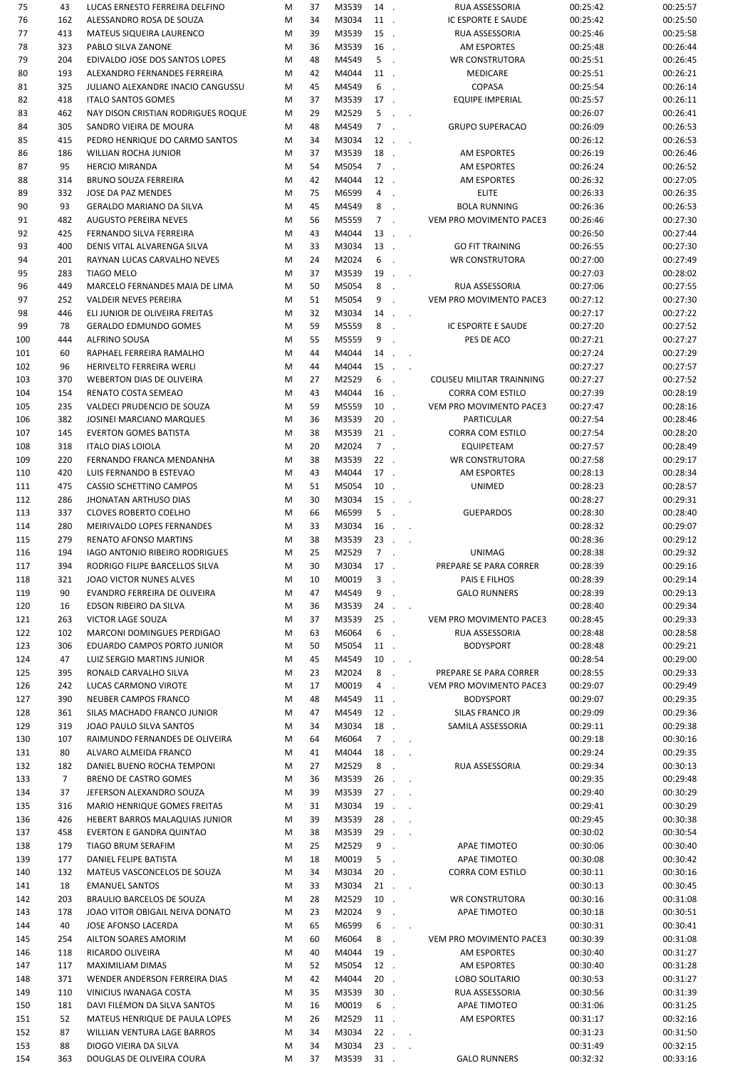| 75         | 43             | LUCAS ERNESTO FERREIRA DELFINO                     | M      | 37       | M3539          | 14.    |                  |                      | RUA ASSESSORIA                 | 00:25:42             | 00:25:57             |
|------------|----------------|----------------------------------------------------|--------|----------|----------------|--------|------------------|----------------------|--------------------------------|----------------------|----------------------|
| 76         | 162            | ALESSANDRO ROSA DE SOUZA                           | M      | 34       | M3034          | 11.    |                  |                      | IC ESPORTE E SAUDE             | 00:25:42             | 00:25:50             |
| 77         | 413            | MATEUS SIQUEIRA LAURENCO                           | M      | 39       | M3539          | 15.    |                  |                      | RUA ASSESSORIA                 | 00:25:46             | 00:25:58             |
| 78         | 323            | PABLO SILVA ZANONE                                 | M      | 36       | M3539          | 16.    |                  |                      | AM ESPORTES                    | 00:25:48             | 00:26:44             |
| 79         | 204            | EDIVALDO JOSE DOS SANTOS LOPES                     | M      | 48       | M4549          | $5$ .  |                  |                      | <b>WR CONSTRUTORA</b>          | 00:25:51             | 00:26:45             |
| 80         | 193            | ALEXANDRO FERNANDES FERREIRA                       | M      | 42       | M4044          | 11.    |                  |                      | <b>MEDICARE</b>                | 00:25:51             | 00:26:21             |
| 81         | 325            | JULIANO ALEXANDRE INACIO CANGUSSU                  | M      | 45       | M4549          | 6.     |                  |                      | COPASA                         | 00:25:54             | 00:26:14             |
|            |                |                                                    |        |          |                |        |                  |                      |                                |                      |                      |
| 82         | 418            | <b>ITALO SANTOS GOMES</b>                          | M      | 37       | M3539          | 17.    |                  |                      | <b>EQUIPE IMPERIAL</b>         | 00:25:57             | 00:26:11             |
| 83         | 462            | NAY DISON CRISTIAN RODRIGUES ROQUE                 | M      | 29       | M2529          | 5      | $\sim$           | $\sim$               |                                | 00:26:07             | 00:26:41             |
| 84         | 305            | SANDRO VIEIRA DE MOURA                             | M      | 48       | M4549          | $7$ .  |                  |                      | <b>GRUPO SUPERACAO</b>         | 00:26:09             | 00:26:53             |
| 85         | 415            | PEDRO HENRIQUE DO CARMO SANTOS                     | M      | 34       | M3034          |        | $12$ .           |                      |                                | 00:26:12             | 00:26:53             |
| 86         | 186            | <b>WILLIAN ROCHA JUNIOR</b>                        | M      | 37       | M3539          | 18.    |                  |                      | AM ESPORTES                    | 00:26:19             | 00:26:46             |
| 87         | 95             | <b>HERCIO MIRANDA</b>                              | M      | 54       | M5054          | $7$ .  |                  |                      | AM ESPORTES                    | 00:26:24             | 00:26:52             |
| 88         | 314            | <b>BRUNO SOUZA FERREIRA</b>                        | M      | 42       | M4044          | 12.    |                  |                      | AM ESPORTES                    | 00:26:32             | 00:27:05             |
| 89         | 332            | JOSE DA PAZ MENDES                                 | M      | 75       | M6599          | $4$ .  |                  |                      | <b>ELITE</b>                   | 00:26:33             | 00:26:35             |
| 90         | 93             | <b>GERALDO MARIANO DA SILVA</b>                    | M      | 45       | M4549          | 8.     |                  |                      | <b>BOLA RUNNING</b>            | 00:26:36             | 00:26:53             |
|            |                |                                                    |        |          |                |        |                  |                      |                                |                      |                      |
| 91         | 482            | <b>AUGUSTO PEREIRA NEVES</b>                       | M      | 56       | M5559          | $7$ .  |                  |                      | VEM PRO MOVIMENTO PACE3        | 00:26:46             | 00:27:30             |
| 92         | 425            | FERNANDO SILVA FERREIRA                            | M      | 43       | M4044          |        | $13$             |                      |                                | 00:26:50             | 00:27:44             |
| 93         | 400            | DENIS VITAL ALVARENGA SILVA                        | M      | 33       | M3034          | 13.    |                  |                      | <b>GO FIT TRAINING</b>         | 00:26:55             | 00:27:30             |
| 94         | 201            | RAYNAN LUCAS CARVALHO NEVES                        | M      | 24       | M2024          | 6.     |                  |                      | <b>WR CONSTRUTORA</b>          | 00:27:00             | 00:27:49             |
| 95         | 283            | <b>TIAGO MELO</b>                                  | M      | 37       | M3539          | 19.    |                  | $\sim$               |                                | 00:27:03             | 00:28:02             |
| 96         | 449            | MARCELO FERNANDES MAIA DE LIMA                     | M      | 50       | M5054          | 8      | $\sim$           |                      | <b>RUA ASSESSORIA</b>          | 00:27:06             | 00:27:55             |
| 97         | 252            | <b>VALDEIR NEVES PEREIRA</b>                       | M      | 51       | M5054          | 9.     |                  |                      | VEM PRO MOVIMENTO PACE3        | 00:27:12             | 00:27:30             |
| 98         | 446            | ELI JUNIOR DE OLIVEIRA FREITAS                     | M      | 32       | M3034          | $14$   |                  |                      |                                | 00:27:17             | 00:27:22             |
| 99         | 78             | <b>GERALDO EDMUNDO GOMES</b>                       | M      | 59       | M5559          | 8      | $\sim$           |                      | IC ESPORTE E SAUDE             | 00:27:20             | 00:27:52             |
| 100        | 444            | <b>ALFRINO SOUSA</b>                               | M      | 55       | M5559          | 9.     |                  |                      | PES DE ACO                     | 00:27:21             | 00:27:27             |
|            |                |                                                    |        |          |                |        |                  |                      |                                |                      |                      |
| 101        | 60             | RAPHAEL FERREIRA RAMALHO                           | M      | 44       | M4044          |        | $14$             |                      |                                | 00:27:24             | 00:27:29             |
| 102        | 96             | HERIVELTO FERREIRA WERLI                           | M      | 44       | M4044          | $15$ . |                  | $\sim$               |                                | 00:27:27             | 00:27:57             |
| 103        | 370            | <b>WEBERTON DIAS DE OLIVEIRA</b>                   | M      | 27       | M2529          | 6.     |                  |                      | COLISEU MILITAR TRAINNING      | 00:27:27             | 00:27:52             |
| 104        | 154            | RENATO COSTA SEMEAO                                | M      | 43       | M4044          | 16.    |                  |                      | <b>CORRA COM ESTILO</b>        | 00:27:39             | 00:28:19             |
| 105        | 235            | VALDECI PRUDENCIO DE SOUZA                         | M      | 59       | M5559          | $10$ . |                  |                      | VEM PRO MOVIMENTO PACE3        | 00:27:47             | 00:28:16             |
| 106        | 382            | JOSINEI MARCIANO MARQUES                           | M      | 36       | M3539          | $20$ . |                  |                      | <b>PARTICULAR</b>              | 00:27:54             | 00:28:46             |
| 107        | 145            | <b>EVERTON GOMES BATISTA</b>                       | M      | 38       | M3539          | $21$ . |                  |                      | <b>CORRA COM ESTILO</b>        | 00:27:54             | 00:28:20             |
| 108        | 318            | <b>ITALO DIAS LOIOLA</b>                           | M      | 20       | M2024          | $7$ .  |                  |                      | <b>EQUIPETEAM</b>              | 00:27:57             | 00:28:49             |
| 109        | 220            | FERNANDO FRANCA MENDANHA                           | M      | 38       | M3539          | $22$ . |                  |                      | <b>WR CONSTRUTORA</b>          | 00:27:58             | 00:29:17             |
|            |                |                                                    |        |          |                |        |                  |                      |                                |                      |                      |
| 110        | 420            | LUIS FERNANDO B ESTEVAO                            | M      | 43       | M4044          | 17.    |                  |                      | AM ESPORTES                    | 00:28:13             | 00:28:34             |
| 111        | 475            | CASSIO SCHETTINO CAMPOS                            | M      | 51       | M5054          | $10$ . |                  |                      | UNIMED                         | 00:28:23             | 00:28:57             |
| 112        | 286            | <b>JHONATAN ARTHUSO DIAS</b>                       | M      | 30       | M3034          | $15$ . |                  | $\sim$               |                                | 00:28:27             | 00:29:31             |
| 113        | 337            | <b>CLOVES ROBERTO COELHO</b>                       | M      | 66       | M6599          | $5$ .  |                  |                      | <b>GUEPARDOS</b>               | 00:28:30             | 00:28:40             |
| 114        | 280            | MEIRIVALDO LOPES FERNANDES                         | M      | 33       | M3034          | 16.    |                  | $\sim$               |                                | 00:28:32             | 00:29:07             |
| 115        | 279            | RENATO AFONSO MARTINS                              | M      | 38       | M3539          | $23$ . |                  | $\ddot{\phantom{a}}$ |                                | 00:28:36             | 00:29:12             |
| 116        | 194            | <b>IAGO ANTONIO RIBEIRO RODRIGUES</b>              | M      | 25       | M2529          | $7$ .  |                  |                      | <b>UNIMAG</b>                  | 00:28:38             | 00:29:32             |
| 117        | 394            | RODRIGO FILIPE BARCELLOS SILVA                     | M      | 30       | M3034          | 17.    |                  |                      | PREPARE SE PARA CORRER         | 00:28:39             | 00:29:16             |
| 118        | 321            | JOAO VICTOR NUNES ALVES                            | M      | 10       | M0019          | $3$ .  |                  |                      | PAIS E FILHOS                  | 00:28:39             | 00:29:14             |
| 119        | 90             | EVANDRO FERREIRA DE OLIVEIRA                       | M      | 47       | M4549          | 9      | $\sim$           |                      | <b>GALO RUNNERS</b>            | 00:28:39             | 00:29:13             |
| 120        | 16             | EDSON RIBEIRO DA SILVA                             | M      | 36       | M3539          | 24.    |                  |                      |                                | 00:28:40             | 00:29:34             |
|            |                |                                                    |        |          |                |        |                  | $\sim$ $\sim$        | <b>VEM PRO MOVIMENTO PACE3</b> |                      |                      |
| 121        | 263            | VICTOR LAGE SOUZA                                  | M      | 37       | M3539          | $25$ . |                  |                      |                                | 00:28:45             | 00:29:33             |
| 122        | 102            | MARCONI DOMINGUES PERDIGAO                         | M      | 63       | M6064          | 6.     |                  |                      | RUA ASSESSORIA                 | 00:28:48             | 00:28:58             |
| 123        | 306            | EDUARDO CAMPOS PORTO JUNIOR                        | M      | 50       | M5054          | 11.    |                  |                      | <b>BODYSPORT</b>               | 00:28:48             | 00:29:21             |
| 124        | 47             | LUIZ SERGIO MARTINS JUNIOR                         | M      | 45       | M4549          | $10$ . |                  | $\sim$ $\sim$        |                                | 00:28:54             | 00:29:00             |
| 125        | 395            | RONALD CARVALHO SILVA                              | M      | 23       | M2024          | 8.     |                  |                      | PREPARE SE PARA CORRER         | 00:28:55             | 00:29:33             |
| 126        | 242            | LUCAS CARMONO VIROTE                               | M      | 17       | M0019          | 4.     |                  |                      | VEM PRO MOVIMENTO PACE3        | 00:29:07             | 00:29:49             |
| 127        | 390            | NEUBER CAMPOS FRANCO                               | M      | 48       | M4549          | 11.    |                  |                      | <b>BODYSPORT</b>               | 00:29:07             | 00:29:35             |
| 128        | 361            | SILAS MACHADO FRANCO JUNIOR                        | M      | 47       | M4549          | 12.    |                  |                      | SILAS FRANCO JR                | 00:29:09             | 00:29:36             |
| 129        | 319            | JOAO PAULO SILVA SANTOS                            | M      | 34       | M3034          | 18.    |                  |                      | SAMILA ASSESSORIA              | 00:29:11             | 00:29:38             |
| 130        | 107            | RAIMUNDO FERNANDES DE OLIVEIRA                     | M      | 64       | M6064          |        | $7 \cdot \cdot$  |                      |                                | 00:29:18             | 00:30:16             |
| 131        | 80             | ALVARO ALMEIDA FRANCO                              | M      | 41       | M4044          |        | $18$             |                      |                                | 00:29:24             | 00:29:35             |
|            |                |                                                    |        |          |                |        |                  |                      |                                |                      |                      |
| 132        | 182            | DANIEL BUENO ROCHA TEMPONI                         | M      | 27       | M2529          | 8.     |                  |                      | RUA ASSESSORIA                 | 00:29:34             | 00:30:13             |
| 133        | $\overline{7}$ | BRENO DE CASTRO GOMES                              | M      | 36       | M3539          |        | $26$             |                      |                                | 00:29:35             | 00:29:48             |
| 134        | 37             | JEFERSON ALEXANDRO SOUZA                           | M      | 39       | M3539          |        | $27 \ldots$      |                      |                                | 00:29:40             | 00:30:29             |
| 135        | 316            | MARIO HENRIQUE GOMES FREITAS                       | M      | 31       | M3034          |        | $19$             |                      |                                | 00:29:41             | 00:30:29             |
| 136        | 426            | HEBERT BARROS MALAQUIAS JUNIOR                     | M      | 39       | M3539          |        | $28$             |                      |                                | 00:29:45             | 00:30:38             |
| 137        | 458            | <b>EVERTON E GANDRA QUINTAO</b>                    | M      | 38       | M3539          |        | $29$             |                      |                                | 00:30:02             | 00:30:54             |
| 138        | 179            | TIAGO BRUM SERAFIM                                 | M      | 25       | M2529          | $9$ .  |                  |                      | APAE TIMOTEO                   | 00:30:06             | 00:30:40             |
| 139        | 177            | DANIEL FELIPE BATISTA                              | M      | 18       | M0019          | $5$ .  |                  |                      | APAE TIMOTEO                   | 00:30:08             | 00:30:42             |
| 140        | 132            | MATEUS VASCONCELOS DE SOUZA                        | M      | 34       | M3034          | $20$ . |                  |                      | CORRA COM ESTILO               | 00:30:11             | 00:30:16             |
|            |                |                                                    |        |          |                |        |                  |                      |                                |                      |                      |
| 141        | 18             | <b>EMANUEL SANTOS</b>                              | M      | 33       | M3034          |        | $21$             |                      |                                | 00:30:13             | 00:30:45             |
| 142        | 203            | BRAULIO BARCELOS DE SOUZA                          | M      | 28       | M2529          | $10$ . |                  |                      | <b>WR CONSTRUTORA</b>          | 00:30:16             | 00:31:08             |
| 143        | 178            | JOAO VITOR OBIGAIL NEIVA DONATO                    | M      | 23       | M2024          | 9      | $\sim$ .         |                      | <b>APAE TIMOTEO</b>            | 00:30:18             | 00:30:51             |
| 144        | 40             | JOSE AFONSO LACERDA                                | M      | 65       | M6599          | 6      | $\sim 10$ $\sim$ |                      |                                | 00:30:31             | 00:30:41             |
| 145        |                | AILTON SOARES AMORIM                               | M      | 60       | M6064          | 8.     |                  |                      | VEM PRO MOVIMENTO PACE3        | 00:30:39             | 00:31:08             |
|            | 254            |                                                    | M      | 40       | M4044          | 19.    |                  |                      | AM ESPORTES                    | 00:30:40             | 00:31:27             |
| 146        | 118            | RICARDO OLIVEIRA                                   |        |          | M5054          | 12.    |                  |                      | AM ESPORTES                    | 00:30:40             | 00:31:28             |
| 147        | 117            | MAXIMILIAM DIMAS                                   | M      | 52       |                |        |                  |                      |                                |                      |                      |
| 148        | 371            | WENDER ANDERSON FERREIRA DIAS                      | M      | 42       | M4044          | $20$ . |                  |                      | <b>LOBO SOLITARIO</b>          | 00:30:53             | 00:31:27             |
|            |                |                                                    |        | 35       |                |        |                  |                      |                                |                      |                      |
| 149        | 110            | VINICIUS IWANAGA COSTA                             | M      |          | M3539          | $30$ . |                  |                      | RUA ASSESSORIA                 | 00:30:56             | 00:31:39             |
| 150        | 181            | DAVI FILEMON DA SILVA SANTOS                       | M      | 16       | M0019          | 6.     |                  |                      | <b>APAE TIMOTEO</b>            | 00:31:06             | 00:31:25             |
| 151        | 52             | MATEUS HENRIQUE DE PAULA LOPES                     | M      | 26       | M2529          | 11.    |                  |                      | AM ESPORTES                    | 00:31:17             | 00:32:16             |
| 152        | 87             | WILLIAN VENTURA LAGE BARROS                        | M      | 34       | M3034          | $22$ . |                  | $\sim$               |                                | 00:31:23             | 00:31:50             |
| 153<br>154 | 88<br>363      | DIOGO VIEIRA DA SILVA<br>DOUGLAS DE OLIVEIRA COURA | M<br>M | 34<br>37 | M3034<br>M3539 | $31$ . | $23$             |                      | <b>GALO RUNNERS</b>            | 00:31:49<br>00:32:32 | 00:32:15<br>00:33:16 |